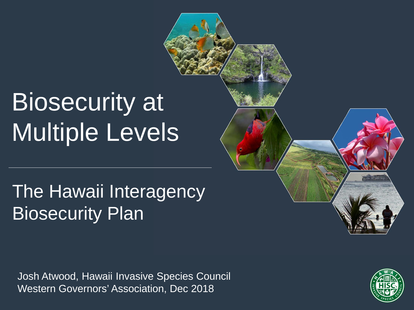# Biosecurity at Multiple Levels

#### The Hawaii Interagency Biosecurity Plan

Josh Atwood, Hawaii Invasive Species Council Western Governors' Association, Dec 2018

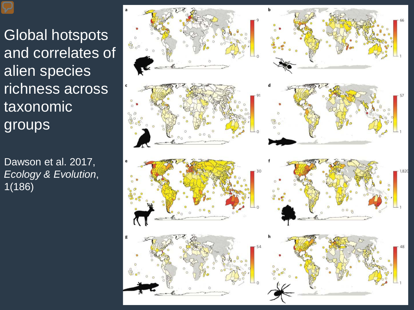Global hotspots and correlates of alien species richness across taxonomic groups

Dawson et al. 2017, *Ecology & Evolution*, 1(186)

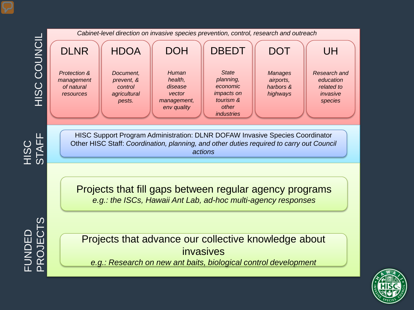

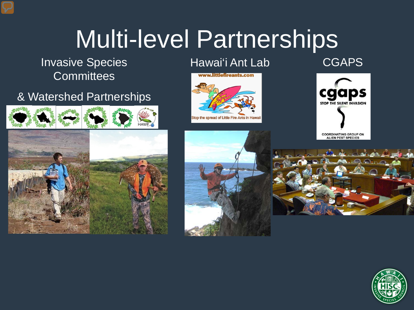## Multi-level Partnerships

Invasive Species **Hawai**'i Ant Lab **Committees** 

#### & Watershed Partnerships







**CGAPS** 

**COORDINATING GROUP ON ALIEN PEST SPECIES** 



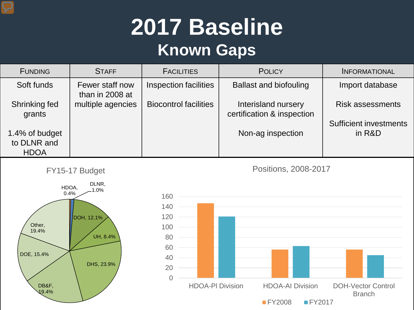### **2017 Baseline Known Gaps**

| <b>FUNDING</b>                | <b>STAFF</b>                       | <b>FACILITIES</b>            | <b>POLICY</b>                                     | <b>INFORMATIONAL</b>                    |
|-------------------------------|------------------------------------|------------------------------|---------------------------------------------------|-----------------------------------------|
| Soft funds                    | Fewer staff now<br>than in 2008 at | Inspection facilities        | <b>Ballast and biofouling</b>                     | Import database                         |
| Shrinking fed<br>grants       | multiple agencies                  | <b>Biocontrol facilities</b> | Interisland nursery<br>certification & inspection | <b>Risk assessments</b>                 |
| 1.4% of budget<br>to DLNR and |                                    |                              | Non-ag inspection                                 | <b>Sufficient investments</b><br>in R&D |
| <b>HDOA</b>                   |                                    |                              |                                                   |                                         |





Positions, 2008-2017

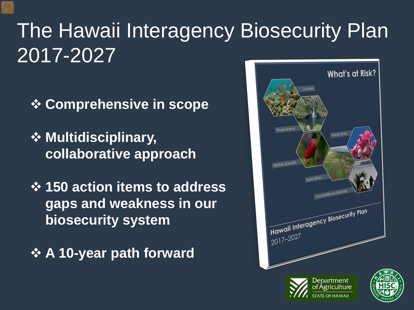## The Hawaii Interagency Biosecurity Plan 2017-2027

- **Comprehensive in scope**
- *❖* **Multidisciplinary, collaborative approach**
- **150 action items to address gaps and weakness in our biosecurity system**
- **A 10-year path forward**



**STATE OF HAWAII**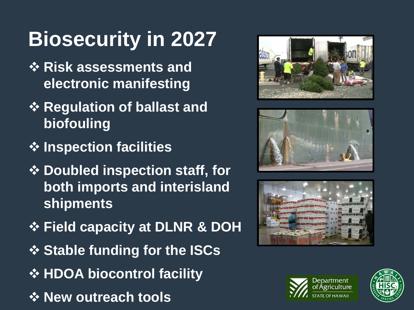## **Biosecurity in 2027**

- **☆ Risk assessments and electronic manifesting**
- **☆ Regulation of ballast and biofouling**
- **Inspection facilities**
- **❖ Doubled inspection staff, for both imports and interisland shipments**
- **Field capacity at DLNR & DOH**
- **❖ Stable funding for the ISCs**
- $\triangle$  **HDOA biocontrol facility**
- *<b>☆ New outreach tools*









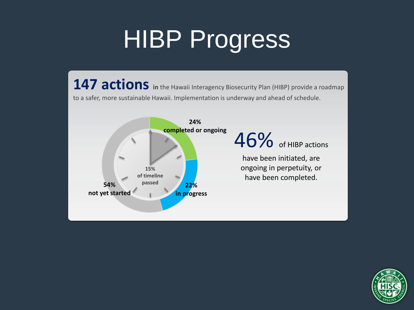## **HIBP Progress**

**147 actions** in the Hawaii Interagency Biosecurity Plan (HIBP) provide a roadmap to a safer, more sustainable Hawaii. Implementation is underway and ahead of schedule.